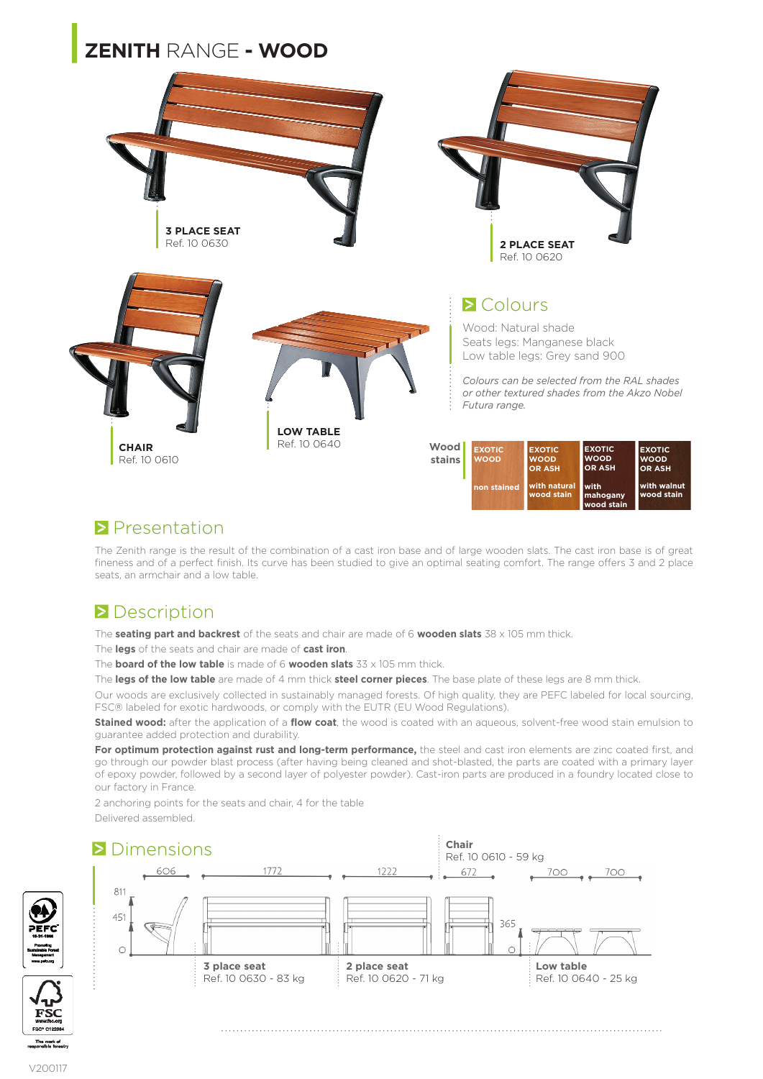# **|ZENITH** RANGE **- WOOD**



#### **Presentation**

The Zenith range is the result of the combination of a cast iron base and of large wooden slats. The cast iron base is of great fineness and of a perfect finish. Its curve has been studied to give an optimal seating comfort. The range offers 3 and 2 place seats, an armchair and a low table.

**wood stain**

### **Description**

The **seating part and backrest** of the seats and chair are made of 6 **wooden slats** 38 x 105 mm thick.

The **legs** of the seats and chair are made of **cast iron**.

The **board of the low table** is made of 6 **wooden slats** 33 x 105 mm thick.

The **legs of the low table** are made of 4 mm thick **steel corner pieces**. The base plate of these legs are 8 mm thick.

Our woods are exclusively collected in sustainably managed forests. Of high quality, they are PEFC labeled for local sourcing, FSC® labeled for exotic hardwoods, or comply with the EUTR (EU Wood Regulations).

**Stained wood:** after the application of a **flow coat**, the wood is coated with an aqueous, solvent-free wood stain emulsion to guarantee added protection and durability.

For optimum protection against rust and long-term performance, the steel and cast iron elements are zinc coated first, and go through our powder blast process (after having being cleaned and shot-blasted, the parts are coated with a primary layer of epoxy powder, followed by a second layer of polyester powder). Cast-iron parts are produced in a foundry located close to our factory in France.

2 anchoring points for the seats and chair, 4 for the table Delivered assembled.